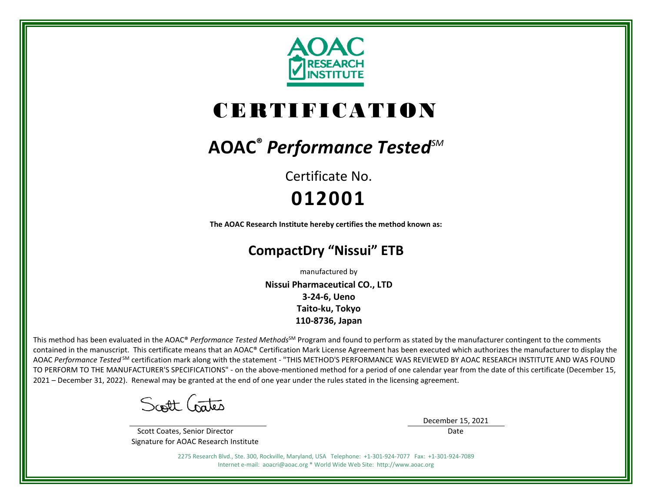

# CERTIFICATION

## **AOAC®** *Performance TestedSM*

Certificate No. **012001**

**The AOAC Research Institute hereby certifies the method known as:**

### **CompactDry "Nissui" ETB**

manufactured by

**Nissui Pharmaceutical CO., LTD 3-24-6, Ueno Taito-ku, Tokyo 110-8736, Japan**

This method has been evaluated in the AOAC® Performance Tested Methods<sup>SM</sup> Program and found to perform as stated by the manufacturer contingent to the comments contained in the manuscript. This certificate means that an AOAC® Certification Mark License Agreement has been executed which authorizes the manufacturer to display the AOAC *Performance Tested* SM certification mark along with the statement - "THIS METHOD'S PERFORMANCE WAS REVIEWED BY AOAC RESEARCH INSTITUTE AND WAS FOUND TO PERFORM TO THE MANUFACTURER'S SPECIFICATIONS" - on the above-mentioned method for a period of one calendar year from the date of this certificate (December 15, 2021 – December 31, 2022). Renewal may be granted at the end of one year under the rules stated in the licensing agreement.

Scott Crates

 Scott Coates, Senior Director Signature for AOAC Research Institute December 15, 2021

Date

2275 Research Blvd., Ste. 300, Rockville, Maryland, USA Telephone: +1-301-924-7077 Fax: +1-301-924-7089 Internet e-mail: aoacri@aoac.org \* World Wide Web Site: http://www.aoac.org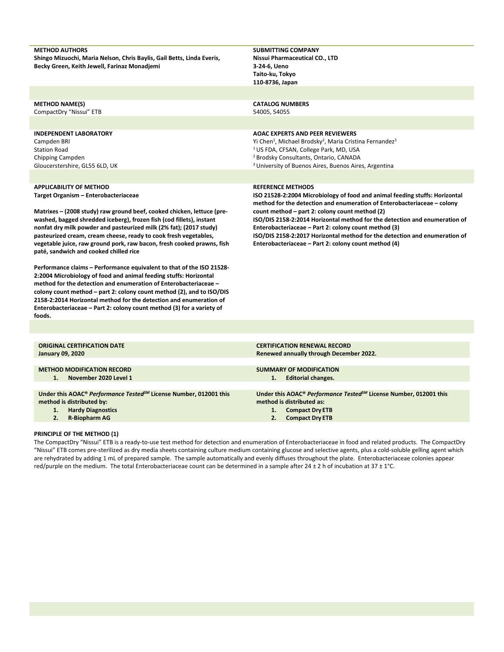| <b>METHOD AUTHORS</b>                                                                                                                      | <b>SUBMITTING COMPANY</b>                                                                                                                              |
|--------------------------------------------------------------------------------------------------------------------------------------------|--------------------------------------------------------------------------------------------------------------------------------------------------------|
| Shingo Mizuochi, Maria Nelson, Chris Baylis, Gail Betts, Linda Everis,                                                                     | Nissui Pharmaceutical CO., LTD                                                                                                                         |
| Becky Green, Keith Jewell, Farinaz Monadjemi                                                                                               | 3-24-6, Ueno                                                                                                                                           |
|                                                                                                                                            | Taito-ku, Tokyo                                                                                                                                        |
|                                                                                                                                            | 110-8736, Japan                                                                                                                                        |
|                                                                                                                                            |                                                                                                                                                        |
| <b>METHOD NAME(S)</b>                                                                                                                      | <b>CATALOG NUMBERS</b>                                                                                                                                 |
| CompactDry "Nissui" ETB                                                                                                                    | 54005, 54055                                                                                                                                           |
|                                                                                                                                            |                                                                                                                                                        |
| <b>INDEPENDENT LABORATORY</b>                                                                                                              | <b>AOAC EXPERTS AND PEER REVIEWERS</b>                                                                                                                 |
| Campden BRI                                                                                                                                | Yi Chen <sup>1</sup> , Michael Brodsky <sup>2</sup> , Maria Cristina Fernandez <sup>3</sup>                                                            |
| <b>Station Road</b>                                                                                                                        | <sup>1</sup> US FDA, CFSAN, College Park, MD, USA                                                                                                      |
| Chipping Campden                                                                                                                           | <sup>2</sup> Brodsky Consultants, Ontario, CANADA                                                                                                      |
| Gloucerstershire, GL55 6LD, UK                                                                                                             | <sup>3</sup> University of Buenos Aires, Buenos Aires, Argentina                                                                                       |
|                                                                                                                                            |                                                                                                                                                        |
| <b>APPLICABILITY OF METHOD</b>                                                                                                             | <b>REFERENCE METHODS</b>                                                                                                                               |
| Target Organism - Enterobacteriaceae                                                                                                       | ISO 21528-2:2004 Microbiology of food and animal feeding stuffs: Horizontal<br>method for the detection and enumeration of Enterobacteriaceae – colony |
| Matrixes - (2008 study) raw ground beef, cooked chicken, lettuce (pre-                                                                     | count method – part 2: colony count method (2)                                                                                                         |
| washed, bagged shredded iceberg), frozen fish (cod fillets), instant<br>nonfat dry milk powder and pasteurized milk (2% fat); (2017 study) | ISO/DIS 2158-2:2014 Horizontal method for the detection and enumeration of<br>Enterobacteriaceae - Part 2: colony count method (3)                     |

**ISO/DIS 2158-2:2017 Horizontal method for the detection and enumeration of Enterobacteriaceae – Part 2: colony count method (4)**

| <b>ORIGINAL CERTIFICATION DATE</b>                                            | <b>CERTIFICATION RENEWAL RECORD</b>                                           |
|-------------------------------------------------------------------------------|-------------------------------------------------------------------------------|
| <b>January 09, 2020</b>                                                       | Renewed annually through December 2022.                                       |
|                                                                               |                                                                               |
| <b>METHOD MODIFICATION RECORD</b>                                             | <b>SUMMARY OF MODIFICATION</b>                                                |
| November 2020 Level 1<br>1.                                                   | <b>Editorial changes.</b><br>1.                                               |
|                                                                               |                                                                               |
| Under this AOAC® Performance Tested <sup>SM</sup> License Number, 012001 this | Under this AOAC® Performance Tested <sup>SM</sup> License Number, 012001 this |
| method is distributed by:                                                     | method is distributed as:                                                     |
| <b>Hardy Diagnostics</b><br>1.                                                | <b>Compact Dry ETB</b><br>1.                                                  |
| <b>R-Biopharm AG</b><br>2.                                                    | <b>Compact Dry ETB</b>                                                        |
|                                                                               |                                                                               |
|                                                                               |                                                                               |

#### **PRINCIPLE OF THE METHOD (1)**

**pasteurized cream, cream cheese, ready to cook fresh vegetables, vegetable juice, raw ground pork, raw bacon, fresh cooked prawns, fish** 

**Performance claims – Performance equivalent to that of the ISO 21528- 2:2004 Microbiology of food and animal feeding stuffs: Horizontal method for the detection and enumeration of Enterobacteriaceae – colony count method – part 2: colony count method (2), and to ISO/DIS 2158-2:2014 Horizontal method for the detection and enumeration of Enterobacteriaceae – Part 2: colony count method (3) for a variety of** 

**paté, sandwich and cooked chilled rice**

**foods.**

The CompactDry "Nissui" ETB is a ready-to-use test method for detection and enumeration of Enterobacteriaceae in food and related products. The CompactDry "Nissui" ETB comes pre-sterilized as dry media sheets containing culture medium containing glucose and selective agents, plus a cold-soluble gelling agent which are rehydrated by adding 1 mL of prepared sample. The sample automatically and evenly diffuses throughout the plate. Enterobacteriaceae colonies appear red/purple on the medium. The total Enterobacteriaceae count can be determined in a sample after 24  $\pm$  2 h of incubation at 37  $\pm$  1°C.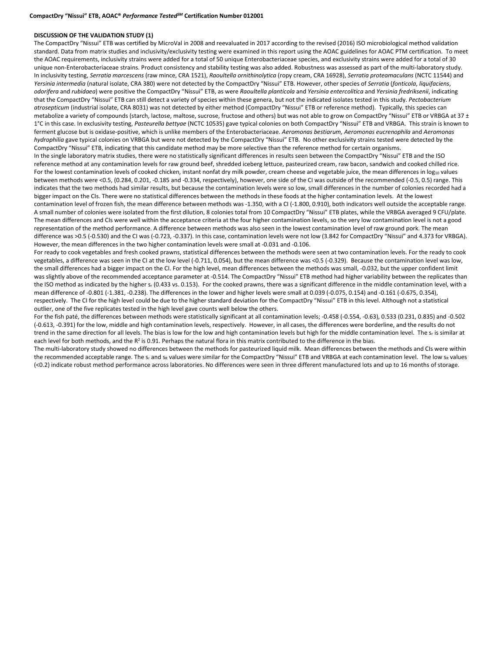#### **DISCUSSION OF THE VALIDATION STUDY (1)**

The CompactDry "Nissui" ETB was certified by MicroVal in 2008 and reevaluated in 2017 according to the revised (2016) ISO microbiological method validation standard. Data from matrix studies and inclusivity/exclusivity testing were examined in this report using the AOAC guidelines for AOAC PTM certification. To meet the AOAC requirements, inclusivity strains were added for a total of 50 unique Enterobacteriaceae species, and exclusivity strains were added for a total of 30 unique non-Enterobacteriaceae strains. Product consistency and stability testing was also added. Robustness was assessed as part of the multi-laboratory study. In inclusivity testing, *Serratia marcescens* (raw mince, CRA 1521), *Raoultella ornithinolytica* (ropy cream, CRA 16928), *Serratia proteamaculans* (NCTC 11544) and *Yersinia intermedia* (natural isolate, CRA 380) were not detected by the CompactDry "Nissui" ETB. However, other species of *Serratia* (*fonticola*, *liquifaciens*, *odorifera* and *rubidaea*) were positive the CompactDry "Nissui" ETB, as were *Raoultella planticola* and *Yersinia entercolitica* and *Yersinia fredriksenii*, indicating that the CompactDry "Nissui" ETB can still detect a variety of species within these genera, but not the indicated isolates tested in this study. *Pectobacterium atrosepticum* (industrial isolate, CRA 8031) was not detected by either method (CompactDry "Nissui" ETB or reference method). Typically, this species can metabolize a variety of compounds (starch, lactose, maltose, sucrose, fructose and others) but was not able to grow on CompactDry "Nissui" ETB or VRBGA at 37 ± 1°C in this case. In exclusivity testing, *Pasteurella bettyae* (NCTC 10535) gave typical colonies on both CompactDry "Nissui" ETB and VRBGA. This strain is known to ferment glucose but is oxidase-positive, which is unlike members of the Enterobacteriaceae. *Aeromonas bestiarum, Aeromonas eucrenophila* and *Aeromonas hydrophilia* gave typical colonies on VRBGA but were not detected by the CompactDry "Nissui" ETB. No other exclusivity strains tested were detected by the CompactDry "Nissui" ETB, indicating that this candidate method may be more selective than the reference method for certain organisms. In the single laboratory matrix studies, there were no statistically significant differences in results seen between the CompactDry "Nissui" ETB and the ISO reference method at any contamination levels for raw ground beef, shredded iceberg lettuce, pasteurized cream, raw bacon, sandwich and cooked chilled rice. For the lowest contamination levels of cooked chicken, instant nonfat dry milk powder, cream cheese and vegetable juice, the mean differences in log<sub>10</sub> values between methods were <0.5, (0.284, 0.201, -0.185 and -0.334, respectively), however, one side of the CI was outside of the recommended (-0.5, 0.5) range. This indicates that the two methods had similar results, but because the contamination levels were so low, small differences in the number of colonies recorded had a bigger impact on the CIs. There were no statistical differences between the methods in these foods at the higher contamination levels. At the lowest contamination level of frozen fish, the mean difference between methods was -1.350, with a CI (-1.800, 0.910), both indicators well outside the acceptable range. A small number of colonies were isolated from the first dilution, 8 colonies total from 10 CompactDry "Nissui" ETB plates, while the VRBGA averaged 9 CFU/plate. The mean differences and CIs were well within the acceptance criteria at the four higher contamination levels, so the very low contamination level is not a good representation of the method performance. A difference between methods was also seen in the lowest contamination level of raw ground pork. The mean difference was >0.5 (-0.530) and the CI was (-0.723, -0.337). In this case, contamination levels were not low (3.842 for CompactDry "Nissui" and 4.373 for VRBGA). However, the mean differences in the two higher contamination levels were small at -0.031 and -0.106.

For ready to cook vegetables and fresh cooked prawns, statistical differences between the methods were seen at two contamination levels. For the ready to cook vegetables, a difference was seen in the CI at the low level (-0.711, 0.054), but the mean difference was <0.5 (-0.329). Because the contamination level was low, the small differences had a bigger impact on the CI. For the high level, mean differences between the methods was small, -0.032, but the upper confident limit was slightly above of the recommended acceptance parameter at -0.514. The CompactDry "Nissui" ETB method had higher variability between the replicates than the ISO method as indicated by the higher s<sub>r</sub> (0.433 vs. 0.153). For the cooked prawns, there was a significant difference in the middle contamination level, with a mean difference of -0.801 (-1.381, -0.238). The differences in the lower and higher levels were small at 0.039 (-0.075, 0.154) and -0.161 (-0.675, 0.354), respectively. The CI for the high level could be due to the higher standard deviation for the CompactDry "Nissui" ETB in this level. Although not a statistical outlier, one of the five replicates tested in the high level gave counts well below the others.

For the fish paté, the differences between methods were statistically significant at all contamination levels; -0.458 (-0.554, -0.63), 0.533 (0.231, 0.835) and -0.502 (-0.613, -0.391) for the low, middle and high contamination levels, respectively. However, in all cases, the differences were borderline, and the results do not trend in the same direction for all levels. The bias is low for the low and high contamination levels but high for the middle contamination level. The s<sub>r</sub> is similar at each level for both methods, and the  $R^2$  is 0.91. Perhaps the natural flora in this matrix contributed to the difference in the bias.

The multi-laboratory study showed no differences between the methods for pasteurized liquid milk. Mean differences between the methods and CIs were within the recommended acceptable range. The sr and sR values were similar for the CompactDry "Nissui" ETB and VRBGA at each contamination level. The low sR values (<0.2) indicate robust method performance across laboratories. No differences were seen in three different manufactured lots and up to 16 months of storage.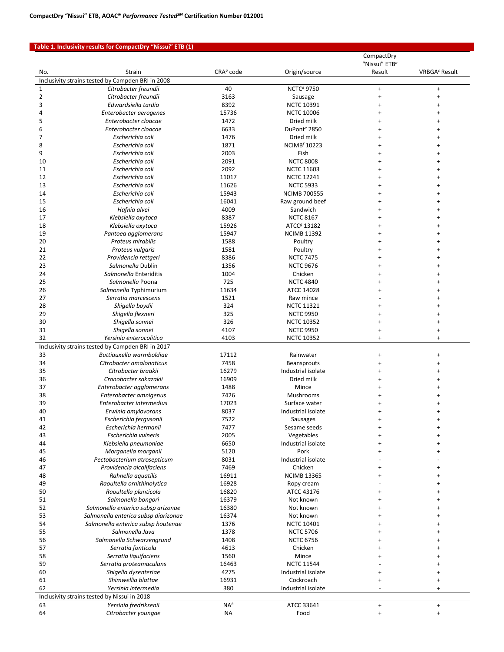#### **Table 1. Inclusivity results for CompactDry "Nissui" ETB (1)**

|                |                                                                               |                              |                                | CompactDry                          |                           |
|----------------|-------------------------------------------------------------------------------|------------------------------|--------------------------------|-------------------------------------|---------------------------|
| No.            | Strain                                                                        | CRA <sup>a</sup> code        | Origin/source                  | "Nissui" ETB <sup>b</sup><br>Result | VRBGA <sup>c</sup> Result |
|                | Inclusivity strains tested by Campden BRI in 2008                             |                              |                                |                                     |                           |
| $\mathbf 1$    | Citrobacter freundii                                                          | 40                           | <b>NCTCd</b> 9750              | $\ddot{}$                           | $\ddot{}$                 |
| $\overline{2}$ | Citrobacter freundii                                                          | 3163                         | Sausage                        | $\ddot{}$                           | $\ddot{}$                 |
| 3              | Edwardsiella tardia                                                           | 8392                         | <b>NCTC 10391</b>              | $\ddot{}$                           | $\ddot{}$                 |
| 4              | Enterobacter aerogenes                                                        | 15736                        | <b>NCTC 10006</b>              | $\ddot{}$                           | $\ddot{}$                 |
| 5              | Enterobacter cloacae                                                          | 1472                         | Dried milk                     | $\ddot{}$                           | $\ddot{}$                 |
| 6              | Enterobacter cloacae                                                          | 6633                         | DuPont <sup>e</sup> 2850       | $\ddot{}$                           | $\ddot{}$                 |
| $\overline{7}$ | Escherichia coli                                                              | 1476                         | Dried milk                     | $\ddot{}$                           | $\ddot{}$                 |
| 8              | Escherichia coli                                                              | 1871                         | <b>NCIMB<sup>f</sup> 10223</b> | $\ddot{}$                           | $\ddot{}$                 |
| 9              | Escherichia coli                                                              | 2003                         | Fish                           | ÷                                   | $\ddot{}$                 |
| 10             | Escherichia coli                                                              | 2091                         | <b>NCTC 8008</b>               |                                     |                           |
| 11             | Escherichia coli                                                              | 2092                         | <b>NCTC 11603</b>              | 4                                   | $\ddot{}$                 |
| 12             | Escherichia coli                                                              | 11017                        | <b>NCTC 12241</b>              | +                                   | $\ddot{}$                 |
| 13<br>14       | Escherichia coli                                                              | 11626<br>15943               | <b>NCTC 5933</b>               |                                     | $\ddot{}$<br>$\ddot{}$    |
| 15             | Escherichia coli<br>Escherichia coli                                          | 16041                        | <b>NCIMB 700555</b>            |                                     | $\ddot{}$                 |
| 16             | Hafnia alvei                                                                  | 4009                         | Raw ground beef<br>Sandwich    |                                     | $\ddot{}$                 |
| 17             | Klebsiella oxytoca                                                            | 8387                         | <b>NCTC 8167</b>               |                                     | $\ddot{}$                 |
| 18             | Klebsiella oxytoca                                                            | 15926                        | ATCC <sup>g</sup> 13182        |                                     |                           |
| 19             | Pantoea agglomerans                                                           | 15947                        | <b>NCIMB 11392</b>             |                                     | $\ddot{}$                 |
| 20             | Proteus mirabilis                                                             | 1588                         | Poultry                        |                                     | $\ddot{}$                 |
| 21             | Proteus vulgaris                                                              | 1581                         | Poultry                        |                                     |                           |
| 22             | Providencia rettgeri                                                          | 8386                         | <b>NCTC 7475</b>               |                                     | ÷                         |
| 23             | Salmonella Dublin                                                             | 1356                         | <b>NCTC 9676</b>               |                                     | $\ddot{}$                 |
| 24             | Salmonella Enteriditis                                                        | 1004                         | Chicken                        |                                     | $\ddot{}$                 |
| 25             | Salmonella Poona                                                              | 725                          | <b>NCTC 4840</b>               |                                     | $\ddot{}$                 |
| 26             | Salmonella Typhimurium                                                        | 11634                        | ATCC 14028                     |                                     |                           |
| 27             | Serratia marcescens                                                           | 1521                         | Raw mince                      |                                     | $\ddot{}$                 |
| 28             | Shigella boydii                                                               | 324                          | <b>NCTC 11321</b>              | +                                   | $\ddot{}$                 |
| 29             | Shigella flexneri                                                             | 325                          | <b>NCTC 9950</b>               |                                     | $\ddot{}$                 |
| 30             | Shigella sonnei                                                               | 326                          | <b>NCTC 10352</b>              | +                                   | $\ddot{}$                 |
| 31             | Shigella sonnei                                                               | 4107                         | <b>NCTC 9950</b>               | $\ddot{}$                           | $\ddot{}$                 |
| 32             | Yersinia enterocolitica                                                       | 4103                         | <b>NCTC 10352</b>              | $\ddot{}$                           | $\ddot{}$                 |
| 33             | Inclusivity strains tested by Campden BRI in 2017<br>Buttiauxella warmboldiae | 17112                        | Rainwater                      | $\begin{array}{c} + \end{array}$    | $\ddot{}$                 |
| 34             | Citrobacter amalonaticus                                                      | 7458                         | <b>Beansprouts</b>             | $\ddot{}$                           | $\ddot{}$                 |
| 35             | Citrobacter braakii                                                           | 16279                        | Industrial isolate             | $\ddot{}$                           | $\ddot{}$                 |
| 36             | Cronobacter sakazakii                                                         | 16909                        | Dried milk                     | $\ddot{}$                           | $\ddot{}$                 |
| 37             | Enterobacter agglomerans                                                      | 1488                         | Mince                          | $\ddot{}$                           | $\ddot{}$                 |
| 38             | Enterobacter amnigenus                                                        | 7426                         | Mushrooms                      | $\ddot{}$                           | $\ddot{}$                 |
| 39             | Enterobacter intermedius                                                      | 17023                        | Surface water                  |                                     |                           |
| 40             | Erwinia amylovorans                                                           | 8037                         | Industrial isolate             |                                     |                           |
| 41             | Escherichia fergusonii                                                        | 7522                         | Sausages                       |                                     |                           |
| 42             | Escherichia hermanii                                                          | 7477                         | Sesame seeds                   | $\ddot{}$                           | $\ddot{}$                 |
| 43             | Escherichia vulneris                                                          | 2005                         | Vegetables                     | $\ddot{}$                           | $\ddot{}$                 |
| 44             | Klebsiella pneumoniae                                                         | 6650                         | Industrial isolate             | $\ddot{}$                           | $\ddot{}$                 |
| 45             | Morganella morganii                                                           | 5120                         | Pork                           | $\ddot{}$                           | +                         |
| 46             | Pectobacterium atrosepticum                                                   | 8031                         | Industrial isolate             |                                     |                           |
| 47             | Providencia alcalifaciens                                                     | 7469                         | Chicken                        |                                     | +                         |
| 48             | Rahnella aquatilis                                                            | 16911                        | <b>NCIMB 13365</b>             |                                     | $\ddot{}$                 |
| 49             | Raoultella ornithinolytica                                                    | 16928                        | Ropy cream                     |                                     | $\ddot{}$                 |
| 50<br>51       | Raoultella planticola<br>Salmonella bongori                                   | 16820<br>16379               | ATCC 43176<br>Not known        |                                     | $\ddot{}$<br>$\ddot{}$    |
| 52             | Salmonella enterica subsp arizonae                                            | 16380                        | Not known                      | 4                                   | $\ddot{}$                 |
| 53             | Salmonella enterica subsp diarizonae                                          | 16374                        | Not known                      |                                     | $\ddot{}$                 |
| 54             | Salmonella enterica subsp houtenae                                            | 1376                         | <b>NCTC 10401</b>              |                                     | $\ddot{}$                 |
| 55             | Salmonella Java                                                               | 1378                         | <b>NCTC 5706</b>               |                                     | $\ddot{}$                 |
| 56             | Salmonella Schwarzengrund                                                     | 1408                         | <b>NCTC 6756</b>               |                                     | $\ddot{}$                 |
| 57             | Serratia fonticola                                                            | 4613                         | Chicken                        | +                                   | +                         |
| 58             | Serratia liquifaciens                                                         | 1560                         | Mince                          |                                     | $\ddot{}$                 |
| 59             | Serratia proteamaculans                                                       | 16463                        | <b>NCTC 11544</b>              |                                     | $\ddot{}$                 |
| 60             | Shigella dysenteriae                                                          | 4275                         | Industrial isolate             | $\ddot{}$                           | $\ddot{}$                 |
| 61             |                                                                               | 16931                        | Cockroach                      | $\ddot{}$                           | $\ddot{}$                 |
|                | Shimwellia blattae                                                            |                              |                                |                                     |                           |
| 62             | Yersinia intermedia                                                           | 380                          | Industrial isolate             | $\overline{\phantom{a}}$            | $+$                       |
|                | Inclusivity strains tested by Nissui in 2018                                  |                              |                                |                                     |                           |
| 63<br>64       | Yersinia fredriksenii<br>Citrobacter youngae                                  | NA <sup>h</sup><br><b>NA</b> | ATCC 33641<br>Food             | $\ddot{}$<br>$\ddot{}$              | $\ddot{}$<br>$\ddot{}$    |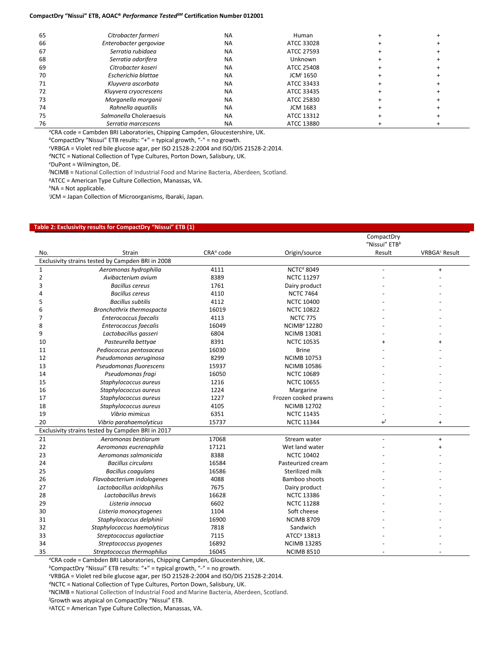#### **CompactDry "Nissui" ETB, AOAC®** *Performance TestedSM* **Certification Number 012001**

| 65 | Citrobacter farmeri     | <b>NA</b> | Human                 |  |
|----|-------------------------|-----------|-----------------------|--|
| 66 | Enterobacter gergoviae  | <b>NA</b> | ATCC 33028            |  |
| 67 | Serratia rubidaea       | <b>NA</b> | ATCC 27593            |  |
| 68 | Serratia odorifera      | <b>NA</b> | Unknown               |  |
| 69 | Citrobacter koseri      | <b>NA</b> | ATCC 25408            |  |
| 70 | Escherichia blattae     | <b>NA</b> | JCM <sup>/</sup> 1650 |  |
| 71 | Kluyvera ascorbata      | <b>NA</b> | ATCC 33433            |  |
| 72 | Kluyvera cryocrescens   | <b>NA</b> | ATCC 33435            |  |
| 73 | Morganella morganii     | <b>NA</b> | ATCC 25830            |  |
| 74 | Rahnella aguatilis      | <b>NA</b> | JCM 1683              |  |
| 75 | Salmonella Choleraesuis | <b>NA</b> | ATCC 13312            |  |
| 76 | Serratia marcescens     | <b>NA</b> | ATCC 13880            |  |

*<sup>a</sup>*CRA code = Cambden BRI Laboratories, Chipping Campden, Gloucestershire, UK.

*<sup>b</sup>*CompactDry "Nissui" ETB results: "+" = typical growth, "-" = no growth.

*c* VRBGA = Violet red bile glucose agar, per ISO 21528-2:2004 and ISO/DIS 21528-2:2014.

*<sup>d</sup>*NCTC = National Collection of Type Cultures, Porton Down, Salisbury, UK.

*e* DuPont = Wilmington, DE.

*f* NCIMB = National Collection of Industrial Food and Marine Bacteria, Aberdeen, Scotland.

*<sup>g</sup>*ATCC = American Type Culture Collection, Manassas, VA.

*<sup>h</sup>*NA = Not applicable.

*i* JCM = Japan Collection of Microorganisms, Ibaraki, Japan.

#### **Table 2: Exclusivity results for CompactDry "Nissui" ETB (1)**

| Origin/source<br>VRBGA <sup>c</sup> Result<br>Strain<br>CRA <sup>a</sup> code<br>Result<br>No.<br>Exclusivity strains tested by Campden BRI in 2008<br><b>NCTCd</b> 8049<br>4111<br>$\mathbf{1}$<br>Aeromonas hydrophilia<br>$\begin{array}{c} + \end{array}$<br>$\overline{2}$<br>8389<br>Avibacterium avium<br><b>NCTC 11297</b><br>3<br><b>Bacillus cereus</b><br>1761<br>Dairy product<br><b>Bacillus cereus</b><br>4110<br><b>NCTC 7464</b><br>Δ<br><b>Bacillus subtilis</b><br>4112<br><b>NCTC 10400</b><br>5<br>6<br>Bronchothrix thermospacta<br>16019<br><b>NCTC 10822</b><br>$\overline{7}$<br>Enterococcus faecalis<br>4113<br><b>NCTC 775</b><br>8<br>16049<br><b>NCIMB<sup>e</sup> 12280</b><br>Enterococcus faecalis<br>9<br>Lactobacillus gasseri<br>6804<br><b>NCIMB 13081</b><br>8391<br>10<br>Pasteurella bettyae<br><b>NCTC 10535</b><br>16030<br>11<br>Pediococcus pentosaceus<br><b>Brine</b><br>12<br>Pseudomonas aeruginosa<br>8299<br><b>NCIMB 10753</b><br>13<br>Pseudomonas fluorescens<br>15937<br><b>NCIMB 10586</b><br>16050<br>14<br>Pseudomonas fragi<br><b>NCTC 10689</b><br>15<br><b>NCTC 10655</b><br>Staphylococcus aureus<br>1216<br>16<br>Staphylococcus aureus<br>1224<br>Margarine<br>17<br>Staphylococcus aureus<br>1227<br>Frozen cooked prawns<br>18<br><b>NCIMB 12702</b><br>Staphylococcus aureus<br>4105<br>19<br>Vibrio mimicus<br>6351<br><b>NCTC 11435</b><br>$\downarrow^f$<br>20<br>Vibrio parahaemolyticus<br>15737<br><b>NCTC 11344</b><br>$\ddot{}$<br>Exclusivity strains tested by Campden BRI in 2017<br>21<br>17068<br>Aeromonas bestiarum<br>Stream water<br>$\ddot{}$<br>22<br>17121<br>Aeromonas eucrenophila<br>Wet land water<br>$\ddot{}$<br>23<br>8388<br>Aeromonas salmonicida<br><b>NCTC 10402</b><br>24<br><b>Bacillus circulans</b><br>16584<br>Pasteurized cream<br>25<br>16586<br>Sterilized milk<br><b>Bacillus coagulans</b><br>26<br>4088<br>Flavobacterium indologenes<br>Bamboo shoots<br>27<br>7675<br>Lactobacillus acidophilus<br>Dairy product<br>28<br>Lactobacillus brevis<br>16628<br><b>NCTC 13386</b><br>29<br>6602<br><b>NCTC 11288</b><br>Listeria innocua<br>30<br>1104<br>Soft cheese<br>Listeria monocytogenes<br>31<br>16900<br>Staphylococcus delphinii<br><b>NCIMB 8709</b><br>32<br>Staphylococcus haemolyticus<br>7818<br>Sandwich |    |                          |      |                         | CompactDry                |  |
|----------------------------------------------------------------------------------------------------------------------------------------------------------------------------------------------------------------------------------------------------------------------------------------------------------------------------------------------------------------------------------------------------------------------------------------------------------------------------------------------------------------------------------------------------------------------------------------------------------------------------------------------------------------------------------------------------------------------------------------------------------------------------------------------------------------------------------------------------------------------------------------------------------------------------------------------------------------------------------------------------------------------------------------------------------------------------------------------------------------------------------------------------------------------------------------------------------------------------------------------------------------------------------------------------------------------------------------------------------------------------------------------------------------------------------------------------------------------------------------------------------------------------------------------------------------------------------------------------------------------------------------------------------------------------------------------------------------------------------------------------------------------------------------------------------------------------------------------------------------------------------------------------------------------------------------------------------------------------------------------------------------------------------------------------------------------------------------------------------------------------------------------------------------------------------------------------------------------------------------------------------------------------------------------------------------------------------|----|--------------------------|------|-------------------------|---------------------------|--|
|                                                                                                                                                                                                                                                                                                                                                                                                                                                                                                                                                                                                                                                                                                                                                                                                                                                                                                                                                                                                                                                                                                                                                                                                                                                                                                                                                                                                                                                                                                                                                                                                                                                                                                                                                                                                                                                                                                                                                                                                                                                                                                                                                                                                                                                                                                                                  |    |                          |      |                         | "Nissui" ETB <sup>b</sup> |  |
|                                                                                                                                                                                                                                                                                                                                                                                                                                                                                                                                                                                                                                                                                                                                                                                                                                                                                                                                                                                                                                                                                                                                                                                                                                                                                                                                                                                                                                                                                                                                                                                                                                                                                                                                                                                                                                                                                                                                                                                                                                                                                                                                                                                                                                                                                                                                  |    |                          |      |                         |                           |  |
|                                                                                                                                                                                                                                                                                                                                                                                                                                                                                                                                                                                                                                                                                                                                                                                                                                                                                                                                                                                                                                                                                                                                                                                                                                                                                                                                                                                                                                                                                                                                                                                                                                                                                                                                                                                                                                                                                                                                                                                                                                                                                                                                                                                                                                                                                                                                  |    |                          |      |                         |                           |  |
|                                                                                                                                                                                                                                                                                                                                                                                                                                                                                                                                                                                                                                                                                                                                                                                                                                                                                                                                                                                                                                                                                                                                                                                                                                                                                                                                                                                                                                                                                                                                                                                                                                                                                                                                                                                                                                                                                                                                                                                                                                                                                                                                                                                                                                                                                                                                  |    |                          |      |                         |                           |  |
|                                                                                                                                                                                                                                                                                                                                                                                                                                                                                                                                                                                                                                                                                                                                                                                                                                                                                                                                                                                                                                                                                                                                                                                                                                                                                                                                                                                                                                                                                                                                                                                                                                                                                                                                                                                                                                                                                                                                                                                                                                                                                                                                                                                                                                                                                                                                  |    |                          |      |                         |                           |  |
|                                                                                                                                                                                                                                                                                                                                                                                                                                                                                                                                                                                                                                                                                                                                                                                                                                                                                                                                                                                                                                                                                                                                                                                                                                                                                                                                                                                                                                                                                                                                                                                                                                                                                                                                                                                                                                                                                                                                                                                                                                                                                                                                                                                                                                                                                                                                  |    |                          |      |                         |                           |  |
|                                                                                                                                                                                                                                                                                                                                                                                                                                                                                                                                                                                                                                                                                                                                                                                                                                                                                                                                                                                                                                                                                                                                                                                                                                                                                                                                                                                                                                                                                                                                                                                                                                                                                                                                                                                                                                                                                                                                                                                                                                                                                                                                                                                                                                                                                                                                  |    |                          |      |                         |                           |  |
|                                                                                                                                                                                                                                                                                                                                                                                                                                                                                                                                                                                                                                                                                                                                                                                                                                                                                                                                                                                                                                                                                                                                                                                                                                                                                                                                                                                                                                                                                                                                                                                                                                                                                                                                                                                                                                                                                                                                                                                                                                                                                                                                                                                                                                                                                                                                  |    |                          |      |                         |                           |  |
|                                                                                                                                                                                                                                                                                                                                                                                                                                                                                                                                                                                                                                                                                                                                                                                                                                                                                                                                                                                                                                                                                                                                                                                                                                                                                                                                                                                                                                                                                                                                                                                                                                                                                                                                                                                                                                                                                                                                                                                                                                                                                                                                                                                                                                                                                                                                  |    |                          |      |                         |                           |  |
|                                                                                                                                                                                                                                                                                                                                                                                                                                                                                                                                                                                                                                                                                                                                                                                                                                                                                                                                                                                                                                                                                                                                                                                                                                                                                                                                                                                                                                                                                                                                                                                                                                                                                                                                                                                                                                                                                                                                                                                                                                                                                                                                                                                                                                                                                                                                  |    |                          |      |                         |                           |  |
|                                                                                                                                                                                                                                                                                                                                                                                                                                                                                                                                                                                                                                                                                                                                                                                                                                                                                                                                                                                                                                                                                                                                                                                                                                                                                                                                                                                                                                                                                                                                                                                                                                                                                                                                                                                                                                                                                                                                                                                                                                                                                                                                                                                                                                                                                                                                  |    |                          |      |                         |                           |  |
|                                                                                                                                                                                                                                                                                                                                                                                                                                                                                                                                                                                                                                                                                                                                                                                                                                                                                                                                                                                                                                                                                                                                                                                                                                                                                                                                                                                                                                                                                                                                                                                                                                                                                                                                                                                                                                                                                                                                                                                                                                                                                                                                                                                                                                                                                                                                  |    |                          |      |                         |                           |  |
|                                                                                                                                                                                                                                                                                                                                                                                                                                                                                                                                                                                                                                                                                                                                                                                                                                                                                                                                                                                                                                                                                                                                                                                                                                                                                                                                                                                                                                                                                                                                                                                                                                                                                                                                                                                                                                                                                                                                                                                                                                                                                                                                                                                                                                                                                                                                  |    |                          |      |                         |                           |  |
|                                                                                                                                                                                                                                                                                                                                                                                                                                                                                                                                                                                                                                                                                                                                                                                                                                                                                                                                                                                                                                                                                                                                                                                                                                                                                                                                                                                                                                                                                                                                                                                                                                                                                                                                                                                                                                                                                                                                                                                                                                                                                                                                                                                                                                                                                                                                  |    |                          |      |                         |                           |  |
|                                                                                                                                                                                                                                                                                                                                                                                                                                                                                                                                                                                                                                                                                                                                                                                                                                                                                                                                                                                                                                                                                                                                                                                                                                                                                                                                                                                                                                                                                                                                                                                                                                                                                                                                                                                                                                                                                                                                                                                                                                                                                                                                                                                                                                                                                                                                  |    |                          |      |                         |                           |  |
|                                                                                                                                                                                                                                                                                                                                                                                                                                                                                                                                                                                                                                                                                                                                                                                                                                                                                                                                                                                                                                                                                                                                                                                                                                                                                                                                                                                                                                                                                                                                                                                                                                                                                                                                                                                                                                                                                                                                                                                                                                                                                                                                                                                                                                                                                                                                  |    |                          |      |                         |                           |  |
|                                                                                                                                                                                                                                                                                                                                                                                                                                                                                                                                                                                                                                                                                                                                                                                                                                                                                                                                                                                                                                                                                                                                                                                                                                                                                                                                                                                                                                                                                                                                                                                                                                                                                                                                                                                                                                                                                                                                                                                                                                                                                                                                                                                                                                                                                                                                  |    |                          |      |                         |                           |  |
|                                                                                                                                                                                                                                                                                                                                                                                                                                                                                                                                                                                                                                                                                                                                                                                                                                                                                                                                                                                                                                                                                                                                                                                                                                                                                                                                                                                                                                                                                                                                                                                                                                                                                                                                                                                                                                                                                                                                                                                                                                                                                                                                                                                                                                                                                                                                  |    |                          |      |                         |                           |  |
|                                                                                                                                                                                                                                                                                                                                                                                                                                                                                                                                                                                                                                                                                                                                                                                                                                                                                                                                                                                                                                                                                                                                                                                                                                                                                                                                                                                                                                                                                                                                                                                                                                                                                                                                                                                                                                                                                                                                                                                                                                                                                                                                                                                                                                                                                                                                  |    |                          |      |                         |                           |  |
|                                                                                                                                                                                                                                                                                                                                                                                                                                                                                                                                                                                                                                                                                                                                                                                                                                                                                                                                                                                                                                                                                                                                                                                                                                                                                                                                                                                                                                                                                                                                                                                                                                                                                                                                                                                                                                                                                                                                                                                                                                                                                                                                                                                                                                                                                                                                  |    |                          |      |                         |                           |  |
|                                                                                                                                                                                                                                                                                                                                                                                                                                                                                                                                                                                                                                                                                                                                                                                                                                                                                                                                                                                                                                                                                                                                                                                                                                                                                                                                                                                                                                                                                                                                                                                                                                                                                                                                                                                                                                                                                                                                                                                                                                                                                                                                                                                                                                                                                                                                  |    |                          |      |                         |                           |  |
|                                                                                                                                                                                                                                                                                                                                                                                                                                                                                                                                                                                                                                                                                                                                                                                                                                                                                                                                                                                                                                                                                                                                                                                                                                                                                                                                                                                                                                                                                                                                                                                                                                                                                                                                                                                                                                                                                                                                                                                                                                                                                                                                                                                                                                                                                                                                  |    |                          |      |                         |                           |  |
|                                                                                                                                                                                                                                                                                                                                                                                                                                                                                                                                                                                                                                                                                                                                                                                                                                                                                                                                                                                                                                                                                                                                                                                                                                                                                                                                                                                                                                                                                                                                                                                                                                                                                                                                                                                                                                                                                                                                                                                                                                                                                                                                                                                                                                                                                                                                  |    |                          |      |                         |                           |  |
|                                                                                                                                                                                                                                                                                                                                                                                                                                                                                                                                                                                                                                                                                                                                                                                                                                                                                                                                                                                                                                                                                                                                                                                                                                                                                                                                                                                                                                                                                                                                                                                                                                                                                                                                                                                                                                                                                                                                                                                                                                                                                                                                                                                                                                                                                                                                  |    |                          |      |                         |                           |  |
|                                                                                                                                                                                                                                                                                                                                                                                                                                                                                                                                                                                                                                                                                                                                                                                                                                                                                                                                                                                                                                                                                                                                                                                                                                                                                                                                                                                                                                                                                                                                                                                                                                                                                                                                                                                                                                                                                                                                                                                                                                                                                                                                                                                                                                                                                                                                  |    |                          |      |                         |                           |  |
|                                                                                                                                                                                                                                                                                                                                                                                                                                                                                                                                                                                                                                                                                                                                                                                                                                                                                                                                                                                                                                                                                                                                                                                                                                                                                                                                                                                                                                                                                                                                                                                                                                                                                                                                                                                                                                                                                                                                                                                                                                                                                                                                                                                                                                                                                                                                  |    |                          |      |                         |                           |  |
|                                                                                                                                                                                                                                                                                                                                                                                                                                                                                                                                                                                                                                                                                                                                                                                                                                                                                                                                                                                                                                                                                                                                                                                                                                                                                                                                                                                                                                                                                                                                                                                                                                                                                                                                                                                                                                                                                                                                                                                                                                                                                                                                                                                                                                                                                                                                  |    |                          |      |                         |                           |  |
|                                                                                                                                                                                                                                                                                                                                                                                                                                                                                                                                                                                                                                                                                                                                                                                                                                                                                                                                                                                                                                                                                                                                                                                                                                                                                                                                                                                                                                                                                                                                                                                                                                                                                                                                                                                                                                                                                                                                                                                                                                                                                                                                                                                                                                                                                                                                  |    |                          |      |                         |                           |  |
|                                                                                                                                                                                                                                                                                                                                                                                                                                                                                                                                                                                                                                                                                                                                                                                                                                                                                                                                                                                                                                                                                                                                                                                                                                                                                                                                                                                                                                                                                                                                                                                                                                                                                                                                                                                                                                                                                                                                                                                                                                                                                                                                                                                                                                                                                                                                  |    |                          |      |                         |                           |  |
|                                                                                                                                                                                                                                                                                                                                                                                                                                                                                                                                                                                                                                                                                                                                                                                                                                                                                                                                                                                                                                                                                                                                                                                                                                                                                                                                                                                                                                                                                                                                                                                                                                                                                                                                                                                                                                                                                                                                                                                                                                                                                                                                                                                                                                                                                                                                  |    |                          |      |                         |                           |  |
|                                                                                                                                                                                                                                                                                                                                                                                                                                                                                                                                                                                                                                                                                                                                                                                                                                                                                                                                                                                                                                                                                                                                                                                                                                                                                                                                                                                                                                                                                                                                                                                                                                                                                                                                                                                                                                                                                                                                                                                                                                                                                                                                                                                                                                                                                                                                  |    |                          |      |                         |                           |  |
|                                                                                                                                                                                                                                                                                                                                                                                                                                                                                                                                                                                                                                                                                                                                                                                                                                                                                                                                                                                                                                                                                                                                                                                                                                                                                                                                                                                                                                                                                                                                                                                                                                                                                                                                                                                                                                                                                                                                                                                                                                                                                                                                                                                                                                                                                                                                  |    |                          |      |                         |                           |  |
|                                                                                                                                                                                                                                                                                                                                                                                                                                                                                                                                                                                                                                                                                                                                                                                                                                                                                                                                                                                                                                                                                                                                                                                                                                                                                                                                                                                                                                                                                                                                                                                                                                                                                                                                                                                                                                                                                                                                                                                                                                                                                                                                                                                                                                                                                                                                  |    |                          |      |                         |                           |  |
|                                                                                                                                                                                                                                                                                                                                                                                                                                                                                                                                                                                                                                                                                                                                                                                                                                                                                                                                                                                                                                                                                                                                                                                                                                                                                                                                                                                                                                                                                                                                                                                                                                                                                                                                                                                                                                                                                                                                                                                                                                                                                                                                                                                                                                                                                                                                  |    |                          |      |                         |                           |  |
|                                                                                                                                                                                                                                                                                                                                                                                                                                                                                                                                                                                                                                                                                                                                                                                                                                                                                                                                                                                                                                                                                                                                                                                                                                                                                                                                                                                                                                                                                                                                                                                                                                                                                                                                                                                                                                                                                                                                                                                                                                                                                                                                                                                                                                                                                                                                  |    |                          |      |                         |                           |  |
|                                                                                                                                                                                                                                                                                                                                                                                                                                                                                                                                                                                                                                                                                                                                                                                                                                                                                                                                                                                                                                                                                                                                                                                                                                                                                                                                                                                                                                                                                                                                                                                                                                                                                                                                                                                                                                                                                                                                                                                                                                                                                                                                                                                                                                                                                                                                  |    |                          |      |                         |                           |  |
|                                                                                                                                                                                                                                                                                                                                                                                                                                                                                                                                                                                                                                                                                                                                                                                                                                                                                                                                                                                                                                                                                                                                                                                                                                                                                                                                                                                                                                                                                                                                                                                                                                                                                                                                                                                                                                                                                                                                                                                                                                                                                                                                                                                                                                                                                                                                  | 33 | Streptococcus agalactiae | 7115 | ATCC <sup>9</sup> 13813 |                           |  |
| 34<br>Streptococcus pyogenes<br>16892<br><b>NCIMB 13285</b>                                                                                                                                                                                                                                                                                                                                                                                                                                                                                                                                                                                                                                                                                                                                                                                                                                                                                                                                                                                                                                                                                                                                                                                                                                                                                                                                                                                                                                                                                                                                                                                                                                                                                                                                                                                                                                                                                                                                                                                                                                                                                                                                                                                                                                                                      |    |                          |      |                         |                           |  |
| 35<br>16045<br><b>NCIMB 8510</b><br>Streptococcus thermophilus<br>٠                                                                                                                                                                                                                                                                                                                                                                                                                                                                                                                                                                                                                                                                                                                                                                                                                                                                                                                                                                                                                                                                                                                                                                                                                                                                                                                                                                                                                                                                                                                                                                                                                                                                                                                                                                                                                                                                                                                                                                                                                                                                                                                                                                                                                                                              |    |                          |      |                         |                           |  |

*<sup>a</sup>*CRA code = Cambden BRI Laboratories, Chipping Campden, Gloucestershire, UK.

*<sup>b</sup>*CompactDry "Nissui" ETB results: "+" = typical growth, "-" = no growth.

*c* VRBGA = Violet red bile glucose agar, per ISO 21528-2:2004 and ISO/DIS 21528-2:2014.

*<sup>d</sup>*NCTC = National Collection of Type Cultures, Porton Down, Salisbury, UK.

*e* NCIMB = National Collection of Industrial Food and Marine Bacteria, Aberdeen, Scotland.

*f* Growth was atypical on CompactDry "Nissui" ETB.

*g*ATCC = American Type Culture Collection, Manassas, VA.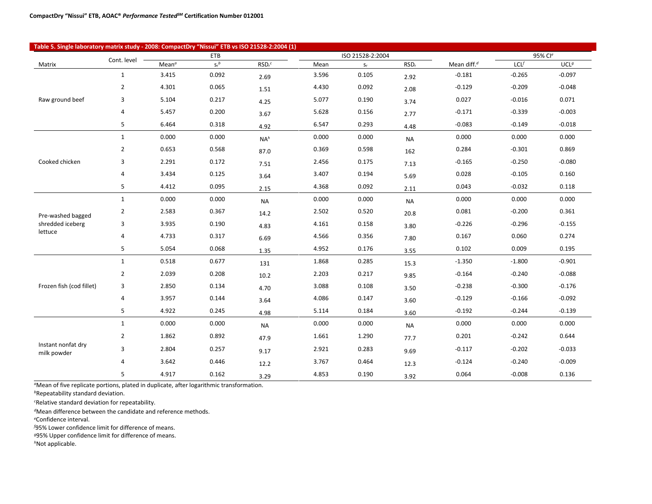| Table 5. Single laboratory matrix study - 2008: CompactDry "Nissui" ETB vs ISO 21528-2:2004 (1) |                |                   |         |                    |       |                         |                  |                |          |                  |
|-------------------------------------------------------------------------------------------------|----------------|-------------------|---------|--------------------|-------|-------------------------|------------------|----------------|----------|------------------|
| <b>ETB</b><br>ISO 21528-2:2004<br>Cont. level                                                   |                |                   |         |                    |       |                         |                  | 95% Cle        |          |                  |
| Matrix                                                                                          |                | Mean <sup>a</sup> | $S_r^b$ | RSD <sub>r</sub> c | Mean  | $\mathsf{S}_\mathrm{f}$ | RSD <sub>r</sub> | Mean diff. $d$ | LCL      | UCL <sup>g</sup> |
|                                                                                                 | $\mathbf{1}$   | 3.415             | 0.092   | 2.69               | 3.596 | 0.105                   | 2.92             | $-0.181$       | $-0.265$ | $-0.097$         |
|                                                                                                 | $\overline{2}$ | 4.301             | 0.065   | 1.51               | 4.430 | 0.092                   | 2.08             | $-0.129$       | $-0.209$ | $-0.048$         |
| Raw ground beef                                                                                 | 3              | 5.104             | 0.217   | 4.25               | 5.077 | 0.190                   | 3.74             | 0.027          | $-0.016$ | 0.071            |
|                                                                                                 | 4              | 5.457             | 0.200   | 3.67               | 5.628 | 0.156                   | 2.77             | $-0.171$       | $-0.339$ | $-0.003$         |
|                                                                                                 | 5              | 6.464             | 0.318   | 4.92               | 6.547 | 0.293                   | 4.48             | $-0.083$       | $-0.149$ | $-0.018$         |
|                                                                                                 | $\mathbf{1}$   | 0.000             | 0.000   | NA <sup>h</sup>    | 0.000 | 0.000                   | <b>NA</b>        | 0.000          | 0.000    | 0.000            |
|                                                                                                 | $\overline{2}$ | 0.653             | 0.568   | 87.0               | 0.369 | 0.598                   | 162              | 0.284          | $-0.301$ | 0.869            |
| Cooked chicken                                                                                  | 3              | 2.291             | 0.172   | 7.51               | 2.456 | 0.175                   | 7.13             | $-0.165$       | $-0.250$ | $-0.080$         |
|                                                                                                 | 4              | 3.434             | 0.125   | 3.64               | 3.407 | 0.194                   | 5.69             | 0.028          | $-0.105$ | 0.160            |
|                                                                                                 | 5              | 4.412             | 0.095   | 2.15               | 4.368 | 0.092                   | 2.11             | 0.043          | $-0.032$ | 0.118            |
|                                                                                                 | $\mathbf{1}$   | 0.000             | 0.000   | <b>NA</b>          | 0.000 | 0.000                   | <b>NA</b>        | 0.000          | 0.000    | 0.000            |
| Pre-washed bagged                                                                               | $\overline{2}$ | 2.583             | 0.367   | 14.2               | 2.502 | 0.520                   | 20.8             | 0.081          | $-0.200$ | 0.361            |
| shredded iceberg                                                                                | 3              | 3.935             | 0.190   | 4.83               | 4.161 | 0.158                   | 3.80             | $-0.226$       | $-0.296$ | $-0.155$         |
| lettuce                                                                                         | 4              | 4.733             | 0.317   | 6.69               | 4.566 | 0.356                   | 7.80             | 0.167          | 0.060    | 0.274            |
|                                                                                                 | 5              | 5.054             | 0.068   | 1.35               | 4.952 | 0.176                   | 3.55             | 0.102          | 0.009    | 0.195            |
|                                                                                                 | $\mathbf{1}$   | 0.518             | 0.677   | 131                | 1.868 | 0.285                   | 15.3             | $-1.350$       | $-1.800$ | $-0.901$         |
|                                                                                                 | $\overline{2}$ | 2.039             | 0.208   | 10.2               | 2.203 | 0.217                   | 9.85             | $-0.164$       | $-0.240$ | $-0.088$         |
| Frozen fish (cod fillet)                                                                        | 3              | 2.850             | 0.134   | 4.70               | 3.088 | 0.108                   | 3.50             | $-0.238$       | $-0.300$ | $-0.176$         |
|                                                                                                 | 4              | 3.957             | 0.144   | 3.64               | 4.086 | 0.147                   | 3.60             | $-0.129$       | $-0.166$ | $-0.092$         |
|                                                                                                 | 5              | 4.922             | 0.245   | 4.98               | 5.114 | 0.184                   | 3.60             | $-0.192$       | $-0.244$ | $-0.139$         |
|                                                                                                 | $\mathbf{1}$   | 0.000             | 0.000   | <b>NA</b>          | 0.000 | 0.000                   | <b>NA</b>        | 0.000          | 0.000    | 0.000            |
|                                                                                                 | $\overline{2}$ | 1.862             | 0.892   | 47.9               | 1.661 | 1.290                   | 77.7             | 0.201          | $-0.242$ | 0.644            |
| Instant nonfat dry<br>milk powder                                                               | 3              | 2.804             | 0.257   | 9.17               | 2.921 | 0.283                   | 9.69             | $-0.117$       | $-0.202$ | $-0.033$         |
|                                                                                                 | 4              | 3.642             | 0.446   | 12.2               | 3.767 | 0.464                   | 12.3             | $-0.124$       | $-0.240$ | $-0.009$         |
|                                                                                                 | 5              | 4.917             | 0.162   | 3.29               | 4.853 | 0.190                   | 3.92             | 0.064          | $-0.008$ | 0.136            |

*<sup>a</sup>*Mean of five replicate portions, plated in duplicate, after logarithmic transformation.

*<sup>b</sup>*Repeatability standard deviation.

*c* Relative standard deviation for repeatability.

*<sup>d</sup>*Mean difference between the candidate and reference methods.

*e* Confidence interval.

*f* 95% Lower confidence limit for difference of means.

*<sup>g</sup>*95% Upper confidence limit for difference of means.

*h*Not applicable.

Τ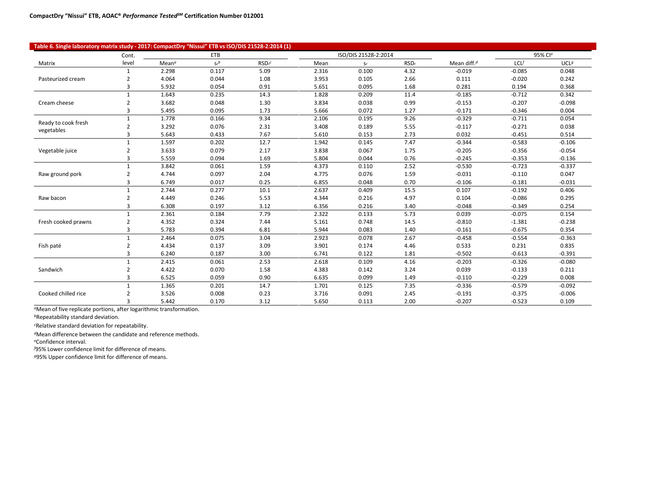| Table 6. Single laboratory matrix study - 2017: CompactDry "Nissui" ETB vs ISO/DIS 21528-2:2014 (1) |                |                   |         |                    |                      |       |                  |                |          |          |
|-----------------------------------------------------------------------------------------------------|----------------|-------------------|---------|--------------------|----------------------|-------|------------------|----------------|----------|----------|
|                                                                                                     | Cont.          |                   | ETB     |                    | ISO/DIS 21528-2:2014 |       |                  |                | 95% Cle  |          |
| Matrix                                                                                              | level          | Mean <sup>a</sup> | $S_r^b$ | RSD <sub>r</sub> c | Mean                 | $S_r$ | RSD <sub>r</sub> | Mean diff. $d$ | LCLf     | UCLg     |
|                                                                                                     | $\mathbf{1}$   | 2.298             | 0.117   | 5.09               | 2.316                | 0.100 | 4.32             | $-0.019$       | $-0.085$ | 0.048    |
| Pasteurized cream                                                                                   | $\mathcal{P}$  | 4.064             | 0.044   | 1.08               | 3.953                | 0.105 | 2.66             | 0.111          | $-0.020$ | 0.242    |
|                                                                                                     | 3              | 5.932             | 0.054   | 0.91               | 5.651                | 0.095 | 1.68             | 0.281          | 0.194    | 0.368    |
|                                                                                                     | $\mathbf{1}$   | 1.643             | 0.235   | 14.3               | 1.828                | 0.209 | 11.4             | $-0.185$       | $-0.712$ | 0.342    |
| Cream cheese                                                                                        | 2              | 3.682             | 0.048   | 1.30               | 3.834                | 0.038 | 0.99             | $-0.153$       | $-0.207$ | $-0.098$ |
|                                                                                                     | 3              | 5.495             | 0.095   | 1.73               | 5.666                | 0.072 | 1.27             | $-0.171$       | $-0.346$ | 0.004    |
|                                                                                                     | $\mathbf{1}$   | 1.778             | 0.166   | 9.34               | 2.106                | 0.195 | 9.26             | $-0.329$       | $-0.711$ | 0.054    |
| Ready to cook fresh<br>vegetables                                                                   | 2              | 3.292             | 0.076   | 2.31               | 3.408                | 0.189 | 5.55             | $-0.117$       | $-0.271$ | 0.038    |
|                                                                                                     | 3              | 5.643             | 0.433   | 7.67               | 5.610                | 0.153 | 2.73             | 0.032          | $-0.451$ | 0.514    |
|                                                                                                     |                | 1.597             | 0.202   | 12.7               | 1.942                | 0.145 | 7.47             | $-0.344$       | $-0.583$ | $-0.106$ |
| Vegetable juice                                                                                     | $\overline{2}$ | 3.633             | 0.079   | 2.17               | 3.838                | 0.067 | 1.75             | $-0.205$       | $-0.356$ | $-0.054$ |
|                                                                                                     | 3              | 5.559             | 0.094   | 1.69               | 5.804                | 0.044 | 0.76             | $-0.245$       | $-0.353$ | $-0.136$ |
|                                                                                                     |                | 3.842             | 0.061   | 1.59               | 4.373                | 0.110 | 2.52             | $-0.530$       | $-0.723$ | $-0.337$ |
| Raw ground pork                                                                                     | $\overline{2}$ | 4.744             | 0.097   | 2.04               | 4.775                | 0.076 | 1.59             | $-0.031$       | $-0.110$ | 0.047    |
|                                                                                                     | 3              | 6.749             | 0.017   | 0.25               | 6.855                | 0.048 | 0.70             | $-0.106$       | $-0.181$ | $-0.031$ |
|                                                                                                     |                | 2.744             | 0.277   | 10.1               | 2.637                | 0.409 | 15.5             | 0.107          | $-0.192$ | 0.406    |
| Raw bacon                                                                                           | $\mathcal{P}$  | 4.449             | 0.246   | 5.53               | 4.344                | 0.216 | 4.97             | 0.104          | $-0.086$ | 0.295    |
|                                                                                                     | 3              | 6.308             | 0.197   | 3.12               | 6.356                | 0.216 | 3.40             | $-0.048$       | $-0.349$ | 0.254    |
|                                                                                                     | 1              | 2.361             | 0.184   | 7.79               | 2.322                | 0.133 | 5.73             | 0.039          | $-0.075$ | 0.154    |
| Fresh cooked prawns                                                                                 | 2              | 4.352             | 0.324   | 7.44               | 5.161                | 0.748 | 14.5             | $-0.810$       | $-1.381$ | $-0.238$ |
|                                                                                                     | 3              | 5.783             | 0.394   | 6.81               | 5.944                | 0.083 | 1.40             | $-0.161$       | $-0.675$ | 0.354    |
|                                                                                                     |                | 2.464             | 0.075   | 3.04               | 2.923                | 0.078 | 2.67             | $-0.458$       | $-0.554$ | $-0.363$ |
| Fish paté                                                                                           | $\overline{2}$ | 4.434             | 0.137   | 3.09               | 3.901                | 0.174 | 4.46             | 0.533          | 0.231    | 0.835    |
|                                                                                                     | 3              | 6.240             | 0.187   | 3.00               | 6.741                | 0.122 | 1.81             | $-0.502$       | $-0.613$ | $-0.391$ |
|                                                                                                     | 1              | 2.415             | 0.061   | 2.53               | 2.618                | 0.109 | 4.16             | $-0.203$       | $-0.326$ | $-0.080$ |
| Sandwich                                                                                            | 2              | 4.422             | 0.070   | 1.58               | 4.383                | 0.142 | 3.24             | 0.039          | $-0.133$ | 0.211    |
|                                                                                                     | $\overline{3}$ | 6.525             | 0.059   | 0.90               | 6.635                | 0.099 | 1.49             | $-0.110$       | $-0.229$ | 0.008    |
|                                                                                                     |                | 1.365             | 0.201   | 14.7               | 1.701                | 0.125 | 7.35             | $-0.336$       | $-0.579$ | $-0.092$ |
| Cooked chilled rice                                                                                 |                | 3.526             | 0.008   | 0.23               | 3.716                | 0.091 | 2.45             | $-0.191$       | $-0.375$ | $-0.006$ |
|                                                                                                     | 3              | 5.442             | 0.170   | 3.12               | 5.650                | 0.113 | 2.00             | $-0.207$       | $-0.523$ | 0.109    |

*<sup>a</sup>*Mean of five replicate portions, after logarithmic transformation.

*<sup>b</sup>*Repeatability standard deviation.

*<sup>c</sup>*Relative standard deviation for repeatability.

*<sup>d</sup>*Mean difference between the candidate and reference methods.

*<sup>e</sup>*Confidence interval.

*f* 95% Lower confidence limit for difference of means.

*g*95% Upper confidence limit for difference of means.